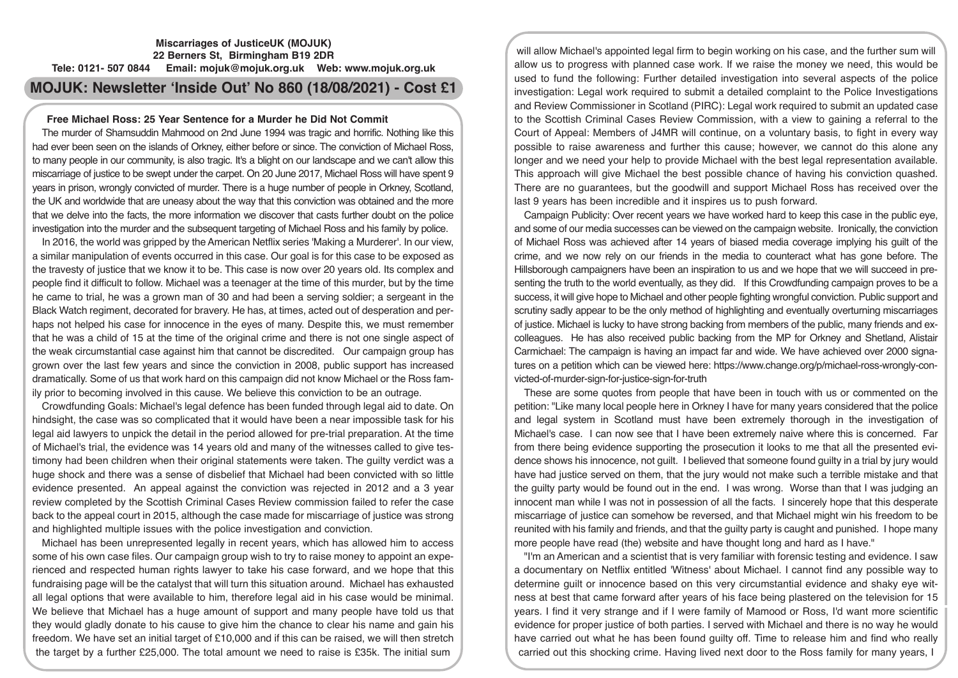# **Miscarriages of JusticeUK (MOJUK) 22 Berners St, Birmingham B19 2DR Tele: 0121- 507 0844 Email: mojuk@mojuk.org.uk Web: www.mojuk.org.uk**

# **MOJUK: Newsletter 'Inside Out' No 860 (18/08/2021) - Cost £1**

# **Free Michael Ross: 25 Year Sentence for a Murder he Did Not Commit**

The murder of Shamsuddin Mahmood on 2nd June 1994 was tragic and horrific. Nothing like this had ever been seen on the islands of Orkney, either before or since. The conviction of Michael Ross, to many people in our community, is also tragic. It's a blight on our landscape and we can't allow this miscarriage of justice to be swept under the carpet. On 20 June 2017, Michael Ross will have spent 9 years in prison, wrongly convicted of murder. There is a huge number of people in Orkney, Scotland, the UK and worldwide that are uneasy about the way that this conviction was obtained and the more that we delve into the facts, the more information we discover that casts further doubt on the police investigation into the murder and the subsequent targeting of Michael Ross and his family by police.

In 2016, the world was gripped by the American Netflix series 'Making a Murderer'. In our view, a similar manipulation of events occurred in this case. Our goal is for this case to be exposed as the travesty of justice that we know it to be. This case is now over 20 years old. Its complex and people find it difficult to follow. Michael was a teenager at the time of this murder, but by the time he came to trial, he was a grown man of 30 and had been a serving soldier; a sergeant in the Black Watch regiment, decorated for bravery. He has, at times, acted out of desperation and perhaps not helped his case for innocence in the eyes of many. Despite this, we must remember that he was a child of 15 at the time of the original crime and there is not one single aspect of the weak circumstantial case against him that cannot be discredited. Our campaign group has grown over the last few years and since the conviction in 2008, public support has increased dramatically. Some of us that work hard on this campaign did not know Michael or the Ross family prior to becoming involved in this cause. We believe this conviction to be an outrage.

Crowdfunding Goals: Michael's legal defence has been funded through legal aid to date. On hindsight, the case was so complicated that it would have been a near impossible task for his legal aid lawyers to unpick the detail in the period allowed for pre-trial preparation. At the time of Michael's trial, the evidence was 14 years old and many of the witnesses called to give testimony had been children when their original statements were taken. The guilty verdict was a huge shock and there was a sense of disbelief that Michael had been convicted with so little evidence presented. An appeal against the conviction was rejected in 2012 and a 3 year review completed by the Scottish Criminal Cases Review commission failed to refer the case back to the appeal court in 2015, although the case made for miscarriage of justice was strong and highlighted multiple issues with the police investigation and conviction.

Michael has been unrepresented legally in recent years, which has allowed him to access some of his own case files. Our campaign group wish to try to raise money to appoint an experienced and respected human rights lawyer to take his case forward, and we hope that this fundraising page will be the catalyst that will turn this situation around. Michael has exhausted all legal options that were available to him, therefore legal aid in his case would be minimal. We believe that Michael has a huge amount of support and many people have told us that they would gladly donate to his cause to give him the chance to clear his name and gain his freedom. We have set an initial target of £10,000 and if this can be raised, we will then stretch the target by a further £25,000. The total amount we need to raise is £35k. The initial sum

will allow Michael's appointed legal firm to begin working on his case, and the further sum will allow us to progress with planned case work. If we raise the money we need, this would be used to fund the following: Further detailed investigation into several aspects of the police investigation: Legal work required to submit a detailed complaint to the Police Investigations and Review Commissioner in Scotland (PIRC): Legal work required to submit an updated case to the Scottish Criminal Cases Review Commission, with a view to gaining a referral to the Court of Appeal: Members of J4MR will continue, on a voluntary basis, to fight in every way possible to raise awareness and further this cause; however, we cannot do this alone any longer and we need your help to provide Michael with the best legal representation available. This approach will give Michael the best possible chance of having his conviction quashed. There are no guarantees, but the goodwill and support Michael Ross has received over the last 9 years has been incredible and it inspires us to push forward.

Campaign Publicity: Over recent years we have worked hard to keep this case in the public eye, and some of our media successes can be viewed on the campaign website. Ironically, the conviction of Michael Ross was achieved after 14 years of biased media coverage implying his guilt of the crime, and we now rely on our friends in the media to counteract what has gone before. The Hillsborough campaigners have been an inspiration to us and we hope that we will succeed in presenting the truth to the world eventually, as they did. If this Crowdfunding campaign proves to be a success, it will give hope to Michael and other people fighting wrongful conviction. Public support and scrutiny sadly appear to be the only method of highlighting and eventually overturning miscarriages of justice. Michael is lucky to have strong backing from members of the public, many friends and excolleagues. He has also received public backing from the MP for Orkney and Shetland, Alistair Carmichael: The campaign is having an impact far and wide. We have achieved over 2000 signatures on a petition which can be viewed here: https://www.change.org/p/michael-ross-wrongly-convicted-of-murder-sign-for-justice-sign-for-truth

These are some quotes from people that have been in touch with us or commented on the petition: "Like many local people here in Orkney I have for many years considered that the police and legal system in Scotland must have been extremely thorough in the investigation of Michael's case. I can now see that I have been extremely naive where this is concerned. Far from there being evidence supporting the prosecution it looks to me that all the presented evidence shows his innocence, not guilt. I believed that someone found guilty in a trial by jury would have had justice served on them, that the jury would not make such a terrible mistake and that the guilty party would be found out in the end. I was wrong. Worse than that I was judging an innocent man while I was not in possession of all the facts. I sincerely hope that this desperate miscarriage of justice can somehow be reversed, and that Michael might win his freedom to be reunited with his family and friends, and that the guilty party is caught and punished. I hope many more people have read (the) website and have thought long and hard as I have."

"I'm an American and a scientist that is very familiar with forensic testing and evidence. I saw a documentary on Netflix entitled 'Witness' about Michael. I cannot find any possible way to determine guilt or innocence based on this very circumstantial evidence and shaky eye witness at best that came forward after years of his face being plastered on the television for 15 years. I find it very strange and if I were family of Mamood or Ross, I'd want more scientific evidence for proper justice of both parties. I served with Michael and there is no way he would have carried out what he has been found guilty off. Time to release him and find who really carried out this shocking crime. Having lived next door to the Ross family for many years, I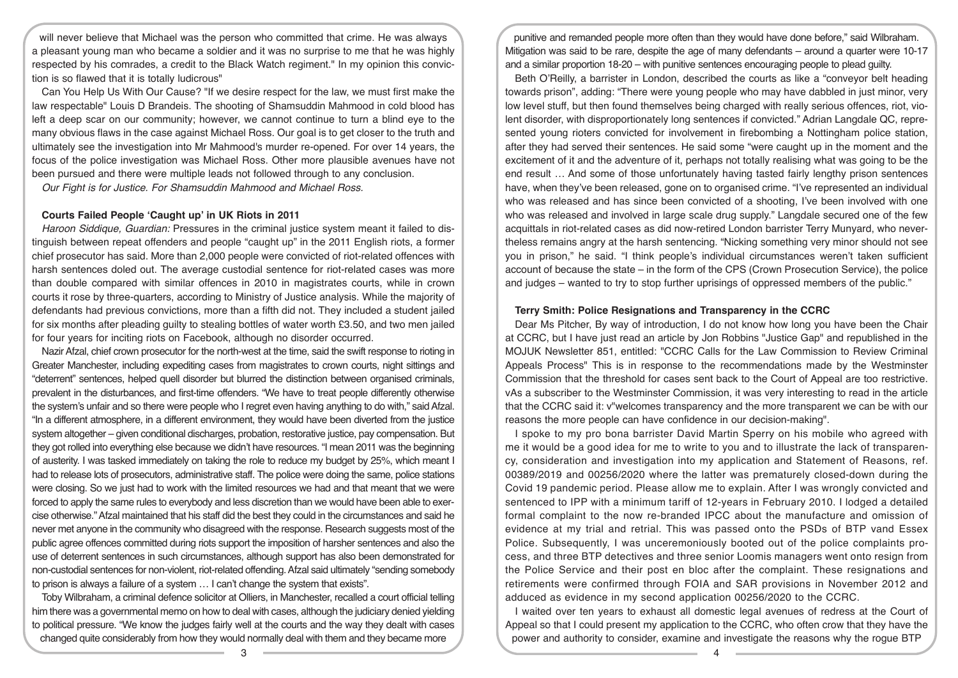will never believe that Michael was the person who committed that crime. He was always a pleasant young man who became a soldier and it was no surprise to me that he was highly respected by his comrades, a credit to the Black Watch regiment." In my opinion this conviction is so flawed that it is totally ludicrous"

Can You Help Us With Our Cause? "If we desire respect for the law, we must first make the law respectable" Louis D Brandeis. The shooting of Shamsuddin Mahmood in cold blood has left a deep scar on our community; however, we cannot continue to turn a blind eye to the many obvious flaws in the case against Michael Ross. Our goal is to get closer to the truth and ultimately see the investigation into Mr Mahmood's murder re-opened. For over 14 years, the focus of the police investigation was Michael Ross. Other more plausible avenues have not been pursued and there were multiple leads not followed through to any conclusion.

*Our Fight is for Justice. For Shamsuddin Mahmood and Michael Ross.* 

## **Courts Failed People 'Caught up' in UK Riots in 2011**

*Haroon Siddique, Guardian:* Pressures in the criminal justice system meant it failed to distinguish between repeat offenders and people "caught up" in the 2011 English riots, a former chief prosecutor has said. More than 2,000 people were convicted of riot-related offences with harsh sentences doled out. The average custodial sentence for riot-related cases was more than double compared with similar offences in 2010 in magistrates courts, while in crown courts it rose by three-quarters, according to Ministry of Justice analysis. While the majority of defendants had previous convictions, more than a fifth did not. They included a student jailed for six months after pleading guilty to stealing bottles of water worth £3.50, and two men jailed for four years for inciting riots on Facebook, although no disorder occurred.

Nazir Afzal, chief crown prosecutor for the north-west at the time, said the swift response to rioting in Greater Manchester, including expediting cases from magistrates to crown courts, night sittings and "deterrent" sentences, helped quell disorder but blurred the distinction between organised criminals, prevalent in the disturbances, and first-time offenders. "We have to treat people differently otherwise the system's unfair and so there were people who I regret even having anything to do with," said Afzal. "In a different atmosphere, in a different environment, they would have been diverted from the justice system altogether – given conditional discharges, probation, restorative justice, pay compensation. But they got rolled into everything else because we didn't have resources. "I mean 2011 was the beginning of austerity. I was tasked immediately on taking the role to reduce my budget by 25%, which meant I had to release lots of prosecutors, administrative staff. The police were doing the same, police stations were closing. So we just had to work with the limited resources we had and that meant that we were forced to apply the same rules to everybody and less discretion than we would have been able to exercise otherwise." Afzal maintained that his staff did the best they could in the circumstances and said he never met anyone in the community who disagreed with the response. Research suggests most of the public agree offences committed during riots support the imposition of harsher sentences and also the use of deterrent sentences in such circumstances, although support has also been demonstrated for non-custodial sentences for non-violent, riot-related offending. Afzal said ultimately "sending somebody to prison is always a failure of a system … I can't change the system that exists".

Toby Wilbraham, a criminal defence solicitor at Olliers, in Manchester, recalled a court official telling him there was a governmental memo on how to deal with cases, although the judiciary denied yielding to political pressure. "We know the judges fairly well at the courts and the way they dealt with cases changed quite considerably from how they would normally deal with them and they became more

punitive and remanded people more often than they would have done before," said Wilbraham. Mitigation was said to be rare, despite the age of many defendants – around a quarter were 10-17 and a similar proportion 18-20 – with punitive sentences encouraging people to plead guilty.

Beth O'Reilly, a barrister in London, described the courts as like a "conveyor belt heading towards prison", adding: "There were young people who may have dabbled in just minor, very low level stuff, but then found themselves being charged with really serious offences, riot, violent disorder, with disproportionately long sentences if convicted." Adrian Langdale QC, represented young rioters convicted for involvement in firebombing a Nottingham police station, after they had served their sentences. He said some "were caught up in the moment and the excitement of it and the adventure of it, perhaps not totally realising what was going to be the end result … And some of those unfortunately having tasted fairly lengthy prison sentences have, when they've been released, gone on to organised crime. "I've represented an individual who was released and has since been convicted of a shooting, I've been involved with one who was released and involved in large scale drug supply." Langdale secured one of the few acquittals in riot-related cases as did now-retired London barrister Terry Munyard, who nevertheless remains angry at the harsh sentencing. "Nicking something very minor should not see you in prison," he said. "I think people's individual circumstances weren't taken sufficient account of because the state – in the form of the CPS (Crown Prosecution Service), the police and judges – wanted to try to stop further uprisings of oppressed members of the public."

### **Terry Smith: Police Resignations and Transparency in the CCRC**

Dear Ms Pitcher, By way of introduction, I do not know how long you have been the Chair at CCRC, but I have just read an article by Jon Robbins "Justice Gap" and republished in the MOJUK Newsletter 851, entitled: "CCRC Calls for the Law Commission to Review Criminal Appeals Process" This is in response to the recommendations made by the Westminster Commission that the threshold for cases sent back to the Court of Appeal are too restrictive. vAs a subscriber to the Westminster Commission, it was very interesting to read in the article that the CCRC said it: v"welcomes transparency and the more transparent we can be with our reasons the more people can have confidence in our decision-making".

I spoke to my pro bona barrister David Martin Sperry on his mobile who agreed with me it would be a good idea for me to write to you and to illustrate the lack of transparency, consideration and investigation into my application and Statement of Reasons, ref. 00389/2019 and 00256/2020 where the latter was prematurely closed-down during the Covid 19 pandemic period. Please allow me to explain. After I was wrongly convicted and sentenced to IPP with a minimum tariff of 12-years in February 2010. I lodged a detailed formal complaint to the now re-branded IPCC about the manufacture and omission of evidence at my trial and retrial. This was passed onto the PSDs of BTP vand Essex Police. Subsequently, I was unceremoniously booted out of the police complaints process, and three BTP detectives and three senior Loomis managers went onto resign from the Police Service and their post en bloc after the complaint. These resignations and retirements were confirmed through FOIA and SAR provisions in November 2012 and adduced as evidence in my second application 00256/2020 to the CCRC.

I waited over ten years to exhaust all domestic legal avenues of redress at the Court of Appeal so that I could present my application to the CCRC, who often crow that they have the power and authority to consider, examine and investigate the reasons why the rogue BTP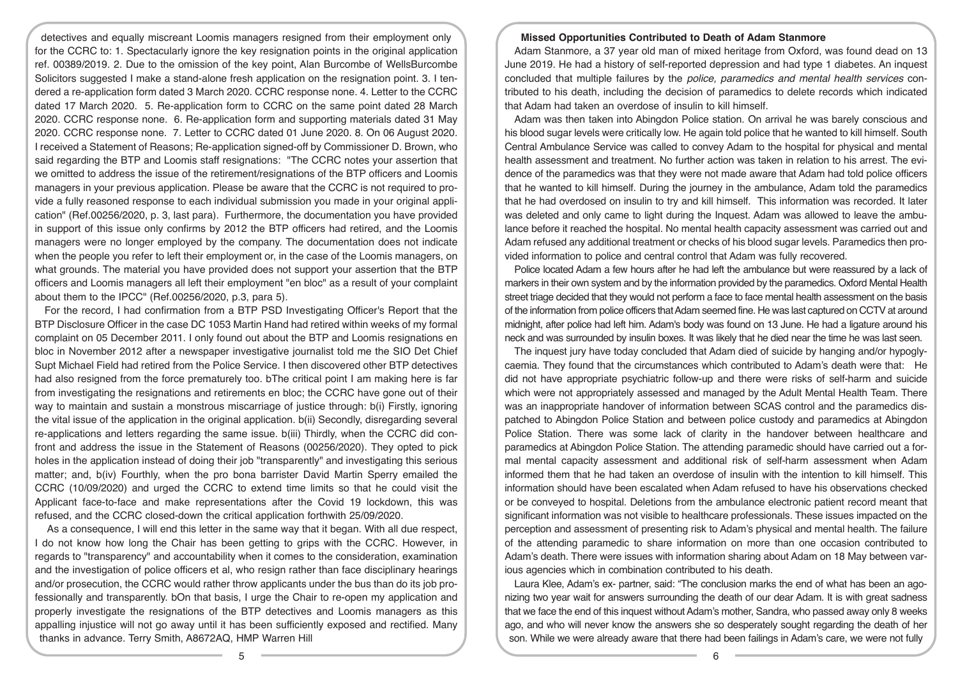detectives and equally miscreant Loomis managers resigned from their employment only for the CCRC to: 1. Spectacularly ignore the key resignation points in the original application ref. 00389/2019. 2. Due to the omission of the key point, Alan Burcombe of WellsBurcombe Solicitors suggested I make a stand-alone fresh application on the resignation point. 3. I tendered a re-application form dated 3 March 2020. CCRC response none. 4. Letter to the CCRC dated 17 March 2020. 5. Re-application form to CCRC on the same point dated 28 March 2020. CCRC response none. 6. Re-application form and supporting materials dated 31 May 2020. CCRC response none. 7. Letter to CCRC dated 01 June 2020. 8. On 06 August 2020. I received a Statement of Reasons; Re-application signed-off by Commissioner D. Brown, who said regarding the BTP and Loomis staff resignations: "The CCRC notes your assertion that we omitted to address the issue of the retirement/resignations of the BTP officers and Loomis managers in your previous application. Please be aware that the CCRC is not required to provide a fully reasoned response to each individual submission you made in your original application" (Ref.00256/2020, p. 3, last para). Furthermore, the documentation you have provided in support of this issue only confirms by 2012 the BTP officers had retired, and the Loomis managers were no longer employed by the company. The documentation does not indicate when the people you refer to left their employment or, in the case of the Loomis managers, on what grounds. The material you have provided does not support your assertion that the BTP officers and Loomis managers all left their employment "en bloc" as a result of your complaint about them to the IPCC" (Ref.00256/2020, p.3, para 5).

For the record, I had confirmation from a BTP PSD Investigating Officer's Report that the BTP Disclosure Officer in the case DC 1053 Martin Hand had retired within weeks of my formal complaint on 05 December 2011. I only found out about the BTP and Loomis resignations en bloc in November 2012 after a newspaper investigative journalist told me the SIO Det Chief Supt Michael Field had retired from the Police Service. I then discovered other BTP detectives had also resigned from the force prematurely too. bThe critical point I am making here is far from investigating the resignations and retirements en bloc; the CCRC have gone out of their way to maintain and sustain a monstrous miscarriage of justice through: b(i) Firstly, ignoring the vital issue of the application in the original application. b(ii) Secondly, disregarding several re-applications and letters regarding the same issue. b(iii) Thirdly, when the CCRC did confront and address the issue in the Statement of Reasons (00256/2020). They opted to pick holes in the application instead of doing their job "transparently" and investigating this serious matter; and, b(iv) Fourthly, when the pro bona barrister David Martin Sperry emailed the CCRC (10/09/2020) and urged the CCRC to extend time limits so that he could visit the Applicant face-to-face and make representations after the Covid 19 lockdown, this was refused, and the CCRC closed-down the critical application forthwith 25/09/2020.

 As a consequence, I will end this letter in the same way that it began. With all due respect, I do not know how long the Chair has been getting to grips with the CCRC. However, in regards to "transparency" and accountability when it comes to the consideration, examination and the investigation of police officers et al, who resign rather than face disciplinary hearings and/or prosecution, the CCRC would rather throw applicants under the bus than do its job professionally and transparently. bOn that basis, I urge the Chair to re-open my application and properly investigate the resignations of the BTP detectives and Loomis managers as this appalling injustice will not go away until it has been sufficiently exposed and rectified. Many thanks in advance. Terry Smith, A8672AQ, HMP Warren Hill

#### **Missed Opportunities Contributed to Death of Adam Stanmore**

Adam Stanmore, a 37 year old man of mixed heritage from Oxford, was found dead on 13 June 2019. He had a history of self-reported depression and had type 1 diabetes. An inquest concluded that multiple failures by the *police, paramedics and mental health services* contributed to his death, including the decision of paramedics to delete records which indicated that Adam had taken an overdose of insulin to kill himself.

Adam was then taken into Abingdon Police station. On arrival he was barely conscious and his blood sugar levels were critically low. He again told police that he wanted to kill himself. South Central Ambulance Service was called to convey Adam to the hospital for physical and mental health assessment and treatment. No further action was taken in relation to his arrest. The evidence of the paramedics was that they were not made aware that Adam had told police officers that he wanted to kill himself. During the journey in the ambulance, Adam told the paramedics that he had overdosed on insulin to try and kill himself. This information was recorded. It later was deleted and only came to light during the Inquest. Adam was allowed to leave the ambulance before it reached the hospital. No mental health capacity assessment was carried out and Adam refused any additional treatment or checks of his blood sugar levels. Paramedics then provided information to police and central control that Adam was fully recovered.

Police located Adam a few hours after he had left the ambulance but were reassured by a lack of markers in their own system and by the information provided by the paramedics. Oxford Mental Health street triage decided that they would not perform a face to face mental health assessment on the basis of the information from police officers that Adam seemed fine. He was last captured on CCTV at around midnight, after police had left him. Adam's body was found on 13 June. He had a ligature around his neck and was surrounded by insulin boxes. It was likely that he died near the time he was last seen.

The inquest jury have today concluded that Adam died of suicide by hanging and/or hypoglycaemia. They found that the circumstances which contributed to Adam's death were that: He did not have appropriate psychiatric follow-up and there were risks of self-harm and suicide which were not appropriately assessed and managed by the Adult Mental Health Team. There was an inappropriate handover of information between SCAS control and the paramedics dispatched to Abingdon Police Station and between police custody and paramedics at Abingdon Police Station. There was some lack of clarity in the handover between healthcare and paramedics at Abingdon Police Station. The attending paramedic should have carried out a formal mental capacity assessment and additional risk of self-harm assessment when Adam informed them that he had taken an overdose of insulin with the intention to kill himself. This information should have been escalated when Adam refused to have his observations checked or be conveyed to hospital. Deletions from the ambulance electronic patient record meant that significant information was not visible to healthcare professionals. These issues impacted on the perception and assessment of presenting risk to Adam's physical and mental health. The failure of the attending paramedic to share information on more than one occasion contributed to Adam's death. There were issues with information sharing about Adam on 18 May between various agencies which in combination contributed to his death.

Laura Klee, Adam's ex- partner, said: "The conclusion marks the end of what has been an agonizing two year wait for answers surrounding the death of our dear Adam. It is with great sadness that we face the end of this inquest without Adam's mother, Sandra, who passed away only 8 weeks ago, and who will never know the answers she so desperately sought regarding the death of her son. While we were already aware that there had been failings in Adam's care, we were not fully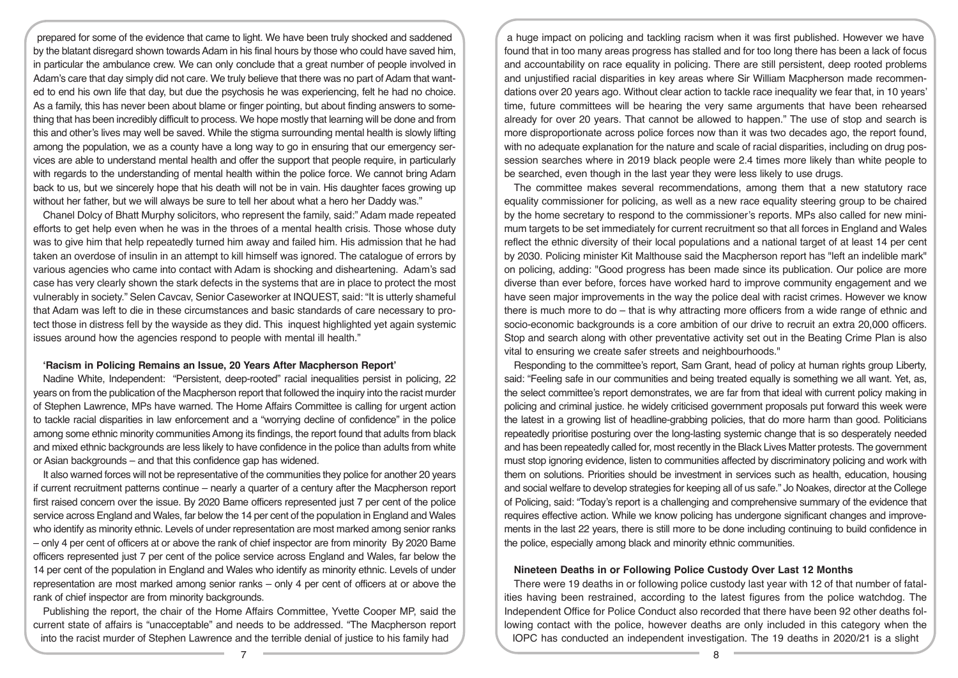prepared for some of the evidence that came to light. We have been truly shocked and saddened by the blatant disregard shown towards Adam in his final hours by those who could have saved him, in particular the ambulance crew. We can only conclude that a great number of people involved in Adam's care that day simply did not care. We truly believe that there was no part of Adam that wanted to end his own life that day, but due the psychosis he was experiencing, felt he had no choice. As a family, this has never been about blame or finger pointing, but about finding answers to something that has been incredibly difficult to process. We hope mostly that learning will be done and from this and other's lives may well be saved. While the stigma surrounding mental health is slowly lifting among the population, we as a county have a long way to go in ensuring that our emergency services are able to understand mental health and offer the support that people require, in particularly with regards to the understanding of mental health within the police force. We cannot bring Adam back to us, but we sincerely hope that his death will not be in vain. His daughter faces growing up without her father, but we will always be sure to tell her about what a hero her Daddy was."

Chanel Dolcy of Bhatt Murphy solicitors, who represent the family, said:" Adam made repeated efforts to get help even when he was in the throes of a mental health crisis. Those whose duty was to give him that help repeatedly turned him away and failed him. His admission that he had taken an overdose of insulin in an attempt to kill himself was ignored. The catalogue of errors by various agencies who came into contact with Adam is shocking and disheartening. Adam's sad case has very clearly shown the stark defects in the systems that are in place to protect the most vulnerably in society." Selen Cavcav, Senior Caseworker at INQUEST, said: "It is utterly shameful that Adam was left to die in these circumstances and basic standards of care necessary to protect those in distress fell by the wayside as they did. This inquest highlighted yet again systemic issues around how the agencies respond to people with mental ill health."

#### **'Racism in Policing Remains an Issue, 20 Years After Macpherson Report'**

Nadine White, Independent: "Persistent, deep-rooted" racial inequalities persist in policing, 22 years on from the publication of the Macpherson report that followed the inquiry into the racist murder of Stephen Lawrence, MPs have warned. The Home Affairs Committee is calling for urgent action to tackle racial disparities in law enforcement and a "worrying decline of confidence" in the police among some ethnic minority communities Among its findings, the report found that adults from black and mixed ethnic backgrounds are less likely to have confidence in the police than adults from white or Asian backgrounds – and that this confidence gap has widened.

It also warned forces will not be representative of the communities they police for another 20 years if current recruitment patterns continue – nearly a quarter of a century after the Macpherson report first raised concern over the issue. By 2020 Bame officers represented just 7 per cent of the police service across England and Wales, far below the 14 per cent of the population in England and Wales who identify as minority ethnic. Levels of under representation are most marked among senior ranks – only 4 per cent of officers at or above the rank of chief inspector are from minority By 2020 Bame officers represented just 7 per cent of the police service across England and Wales, far below the 14 per cent of the population in England and Wales who identify as minority ethnic. Levels of under representation are most marked among senior ranks – only 4 per cent of officers at or above the rank of chief inspector are from minority backgrounds.

Publishing the report, the chair of the Home Affairs Committee, Yvette Cooper MP, said the current state of affairs is "unacceptable" and needs to be addressed. "The Macpherson report into the racist murder of Stephen Lawrence and the terrible denial of justice to his family had

a huge impact on policing and tackling racism when it was first published. However we have found that in too many areas progress has stalled and for too long there has been a lack of focus and accountability on race equality in policing. There are still persistent, deep rooted problems and unjustified racial disparities in key areas where Sir William Macpherson made recommendations over 20 years ago. Without clear action to tackle race inequality we fear that, in 10 years' time, future committees will be hearing the very same arguments that have been rehearsed already for over 20 years. That cannot be allowed to happen." The use of stop and search is more disproportionate across police forces now than it was two decades ago, the report found, with no adequate explanation for the nature and scale of racial disparities, including on drug possession searches where in 2019 black people were 2.4 times more likely than white people to be searched, even though in the last year they were less likely to use drugs.

The committee makes several recommendations, among them that a new statutory race equality commissioner for policing, as well as a new race equality steering group to be chaired by the home secretary to respond to the commissioner's reports. MPs also called for new minimum targets to be set immediately for current recruitment so that all forces in England and Wales reflect the ethnic diversity of their local populations and a national target of at least 14 per cent by 2030. Policing minister Kit Malthouse said the Macpherson report has "left an indelible mark" on policing, adding: "Good progress has been made since its publication. Our police are more diverse than ever before, forces have worked hard to improve community engagement and we have seen major improvements in the way the police deal with racist crimes. However we know there is much more to do – that is why attracting more officers from a wide range of ethnic and socio-economic backgrounds is a core ambition of our drive to recruit an extra 20,000 officers. Stop and search along with other preventative activity set out in the Beating Crime Plan is also vital to ensuring we create safer streets and neighbourhoods."

Responding to the committee's report, Sam Grant, head of policy at human rights group Liberty, said: "Feeling safe in our communities and being treated equally is something we all want. Yet, as, the select committee's report demonstrates, we are far from that ideal with current policy making in policing and criminal justice. he widely criticised government proposals put forward this week were the latest in a growing list of headline-grabbing policies, that do more harm than good. Politicians repeatedly prioritise posturing over the long-lasting systemic change that is so desperately needed and has been repeatedly called for, most recently in the Black Lives Matter protests. The government must stop ignoring evidence, listen to communities affected by discriminatory policing and work with them on solutions. Priorities should be investment in services such as health, education, housing and social welfare to develop strategies for keeping all of us safe." Jo Noakes, director at the College of Policing, said: "Today's report is a challenging and comprehensive summary of the evidence that requires effective action. While we know policing has undergone significant changes and improvements in the last 22 years, there is still more to be done including continuing to build confidence in the police, especially among black and minority ethnic communities.

#### **Nineteen Deaths in or Following Police Custody Over Last 12 Months**

There were 19 deaths in or following police custody last year with 12 of that number of fatalities having been restrained, according to the latest figures from the police watchdog. The Independent Office for Police Conduct also recorded that there have been 92 other deaths following contact with the police, however deaths are only included in this category when the IOPC has conducted an independent investigation. The 19 deaths in 2020/21 is a slight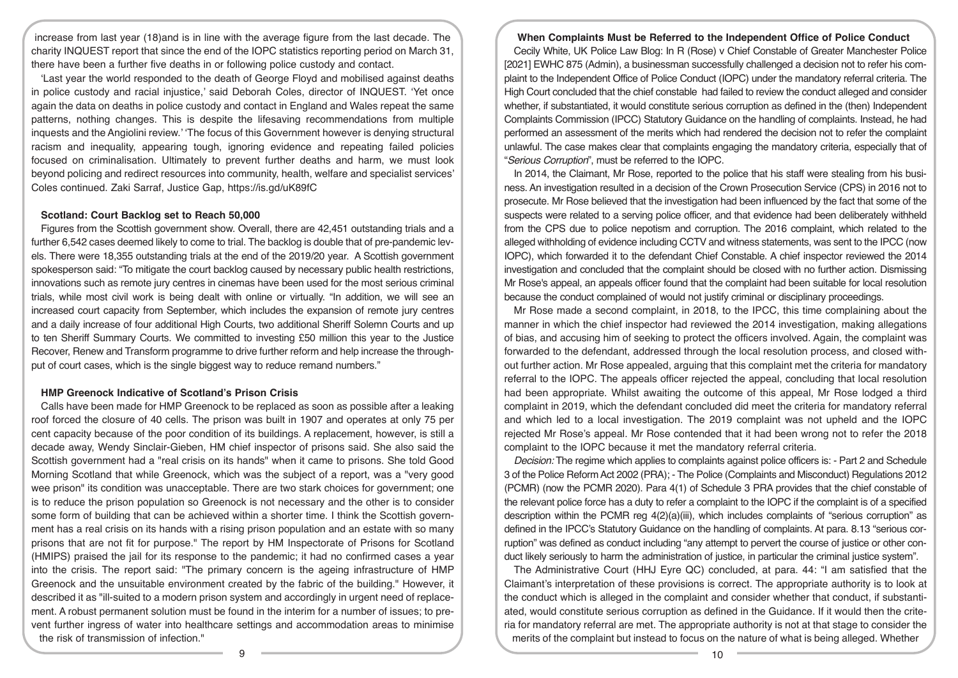increase from last year (18)and is in line with the average figure from the last decade. The charity INQUEST report that since the end of the IOPC statistics reporting period on March 31, there have been a further five deaths in or following police custody and contact.

'Last year the world responded to the death of George Floyd and mobilised against deaths in police custody and racial injustice,' said Deborah Coles, director of INQUEST. 'Yet once again the data on deaths in police custody and contact in England and Wales repeat the same patterns, nothing changes. This is despite the lifesaving recommendations from multiple inquests and the Angiolini review.' 'The focus of this Government however is denying structural racism and inequality, appearing tough, ignoring evidence and repeating failed policies focused on criminalisation. Ultimately to prevent further deaths and harm, we must look beyond policing and redirect resources into community, health, welfare and specialist services' Coles continued. Zaki Sarraf, Justice Gap, https://is.gd/uK89fC

### **Scotland: Court Backlog set to Reach 50,000**

Figures from the Scottish government show. Overall, there are 42,451 outstanding trials and a further 6,542 cases deemed likely to come to trial. The backlog is double that of pre-pandemic levels. There were 18,355 outstanding trials at the end of the 2019/20 year. A Scottish government spokesperson said: "To mitigate the court backlog caused by necessary public health restrictions, innovations such as remote jury centres in cinemas have been used for the most serious criminal trials, while most civil work is being dealt with online or virtually. "In addition, we will see an increased court capacity from September, which includes the expansion of remote jury centres and a daily increase of four additional High Courts, two additional Sheriff Solemn Courts and up to ten Sheriff Summary Courts. We committed to investing £50 million this year to the Justice Recover, Renew and Transform programme to drive further reform and help increase the throughput of court cases, which is the single biggest way to reduce remand numbers."

#### **HMP Greenock Indicative of Scotland's Prison Crisis**

Calls have been made for HMP Greenock to be replaced as soon as possible after a leaking roof forced the closure of 40 cells. The prison was built in 1907 and operates at only 75 per cent capacity because of the poor condition of its buildings. A replacement, however, is still a decade away, Wendy Sinclair-Gieben, HM chief inspector of prisons said. She also said the Scottish government had a "real crisis on its hands" when it came to prisons. She told Good Morning Scotland that while Greenock, which was the subject of a report, was a "very good wee prison" its condition was unacceptable. There are two stark choices for government; one is to reduce the prison population so Greenock is not necessary and the other is to consider some form of building that can be achieved within a shorter time. I think the Scottish government has a real crisis on its hands with a rising prison population and an estate with so many prisons that are not fit for purpose." The report by HM Inspectorate of Prisons for Scotland (HMIPS) praised the jail for its response to the pandemic; it had no confirmed cases a year into the crisis. The report said: "The primary concern is the ageing infrastructure of HMP Greenock and the unsuitable environment created by the fabric of the building." However, it described it as "ill-suited to a modern prison system and accordingly in urgent need of replacement. A robust permanent solution must be found in the interim for a number of issues; to prevent further ingress of water into healthcare settings and accommodation areas to minimise the risk of transmission of infection."

#### **When Complaints Must be Referred to the Independent Office of Police Conduct**

Cecily White, UK Police Law Blog: In R (Rose) v Chief Constable of Greater Manchester Police [2021] EWHC 875 (Admin), a businessman successfully challenged a decision not to refer his complaint to the Independent Office of Police Conduct (IOPC) under the mandatory referral criteria. The High Court concluded that the chief constable had failed to review the conduct alleged and consider whether, if substantiated, it would constitute serious corruption as defined in the (then) Independent Complaints Commission (IPCC) Statutory Guidance on the handling of complaints. Instead, he had performed an assessment of the merits which had rendered the decision not to refer the complaint unlawful. The case makes clear that complaints engaging the mandatory criteria, especially that of "*Serious Corruption*", must be referred to the IOPC.

In 2014, the Claimant, Mr Rose, reported to the police that his staff were stealing from his business. An investigation resulted in a decision of the Crown Prosecution Service (CPS) in 2016 not to prosecute. Mr Rose believed that the investigation had been influenced by the fact that some of the suspects were related to a serving police officer, and that evidence had been deliberately withheld from the CPS due to police nepotism and corruption. The 2016 complaint, which related to the alleged withholding of evidence including CCTV and witness statements, was sent to the IPCC (now IOPC), which forwarded it to the defendant Chief Constable. A chief inspector reviewed the 2014 investigation and concluded that the complaint should be closed with no further action. Dismissing Mr Rose's appeal, an appeals officer found that the complaint had been suitable for local resolution because the conduct complained of would not justify criminal or disciplinary proceedings.

Mr Rose made a second complaint, in 2018, to the IPCC, this time complaining about the manner in which the chief inspector had reviewed the 2014 investigation, making allegations of bias, and accusing him of seeking to protect the officers involved. Again, the complaint was forwarded to the defendant, addressed through the local resolution process, and closed without further action. Mr Rose appealed, arguing that this complaint met the criteria for mandatory referral to the IOPC. The appeals officer rejected the appeal, concluding that local resolution had been appropriate. Whilst awaiting the outcome of this appeal, Mr Rose lodged a third complaint in 2019, which the defendant concluded did meet the criteria for mandatory referral and which led to a local investigation. The 2019 complaint was not upheld and the IOPC rejected Mr Rose's appeal. Mr Rose contended that it had been wrong not to refer the 2018 complaint to the IOPC because it met the mandatory referral criteria.

*Decision:* The regime which applies to complaints against police officers is: - Part 2 and Schedule 3 of the Police Reform Act 2002 (PRA); - The Police (Complaints and Misconduct) Regulations 2012 (PCMR) (now the PCMR 2020). Para 4(1) of Schedule 3 PRA provides that the chief constable of the relevant police force has a duty to refer a complaint to the IOPC if the complaint is of a specified description within the PCMR reg 4(2)(a)(iii), which includes complaints of "serious corruption" as defined in the IPCC's Statutory Guidance on the handling of complaints. At para. 8.13 "serious corruption" was defined as conduct including "any attempt to pervert the course of justice or other conduct likely seriously to harm the administration of justice, in particular the criminal justice system".

The Administrative Court (HHJ Eyre QC) concluded, at para. 44: "I am satisfied that the Claimant's interpretation of these provisions is correct. The appropriate authority is to look at the conduct which is alleged in the complaint and consider whether that conduct, if substantiated, would constitute serious corruption as defined in the Guidance. If it would then the criteria for mandatory referral are met. The appropriate authority is not at that stage to consider the merits of the complaint but instead to focus on the nature of what is being alleged. Whether